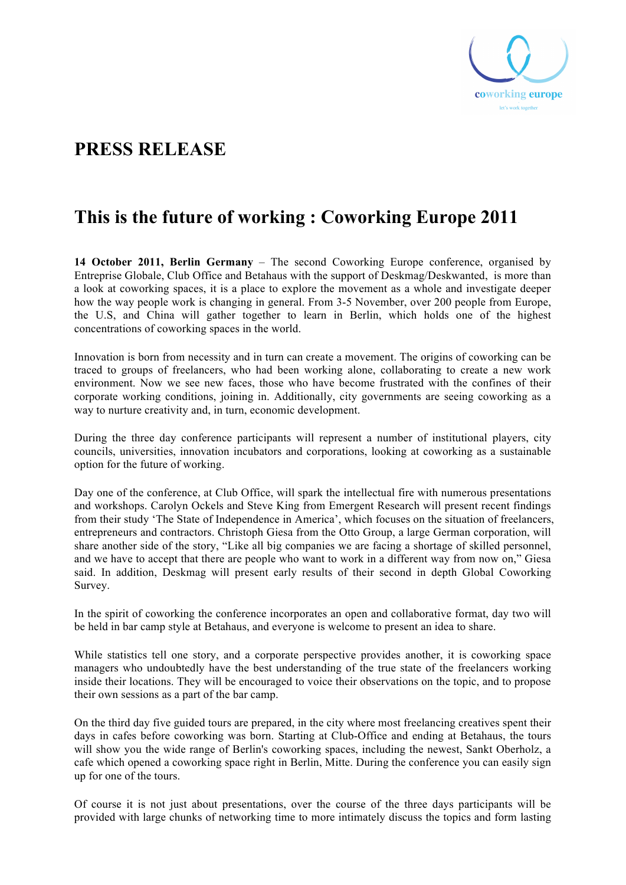

# **PRESS RELEASE**

# **This is the future of working : Coworking Europe 2011**

**14 October 2011, Berlin Germany** – The second Coworking Europe conference, organised by Entreprise Globale, Club Office and Betahaus with the support of Deskmag/Deskwanted, is more than a look at coworking spaces, it is a place to explore the movement as a whole and investigate deeper how the way people work is changing in general. From 3-5 November, over 200 people from Europe, the U.S, and China will gather together to learn in Berlin, which holds one of the highest concentrations of coworking spaces in the world.

Innovation is born from necessity and in turn can create a movement. The origins of coworking can be traced to groups of freelancers, who had been working alone, collaborating to create a new work environment. Now we see new faces, those who have become frustrated with the confines of their corporate working conditions, joining in. Additionally, city governments are seeing coworking as a way to nurture creativity and, in turn, economic development.

During the three day conference participants will represent a number of institutional players, city councils, universities, innovation incubators and corporations, looking at coworking as a sustainable option for the future of working.

Day one of the conference, at Club Office, will spark the intellectual fire with numerous presentations and workshops. Carolyn Ockels and Steve King from Emergent Research will present recent findings from their study 'The State of Independence in America', which focuses on the situation of freelancers, entrepreneurs and contractors. Christoph Giesa from the Otto Group, a large German corporation, will share another side of the story, "Like all big companies we are facing a shortage of skilled personnel, and we have to accept that there are people who want to work in a different way from now on," Giesa said. In addition, Deskmag will present early results of their second in depth Global Coworking Survey.

In the spirit of coworking the conference incorporates an open and collaborative format, day two will be held in bar camp style at Betahaus, and everyone is welcome to present an idea to share.

While statistics tell one story, and a corporate perspective provides another, it is coworking space managers who undoubtedly have the best understanding of the true state of the freelancers working inside their locations. They will be encouraged to voice their observations on the topic, and to propose their own sessions as a part of the bar camp.

On the third day five guided tours are prepared, in the city where most freelancing creatives spent their days in cafes before coworking was born. Starting at Club-Office and ending at Betahaus, the tours will show you the wide range of Berlin's coworking spaces, including the newest, Sankt Oberholz, a cafe which opened a coworking space right in Berlin, Mitte. During the conference you can easily sign up for one of the tours.

Of course it is not just about presentations, over the course of the three days participants will be provided with large chunks of networking time to more intimately discuss the topics and form lasting